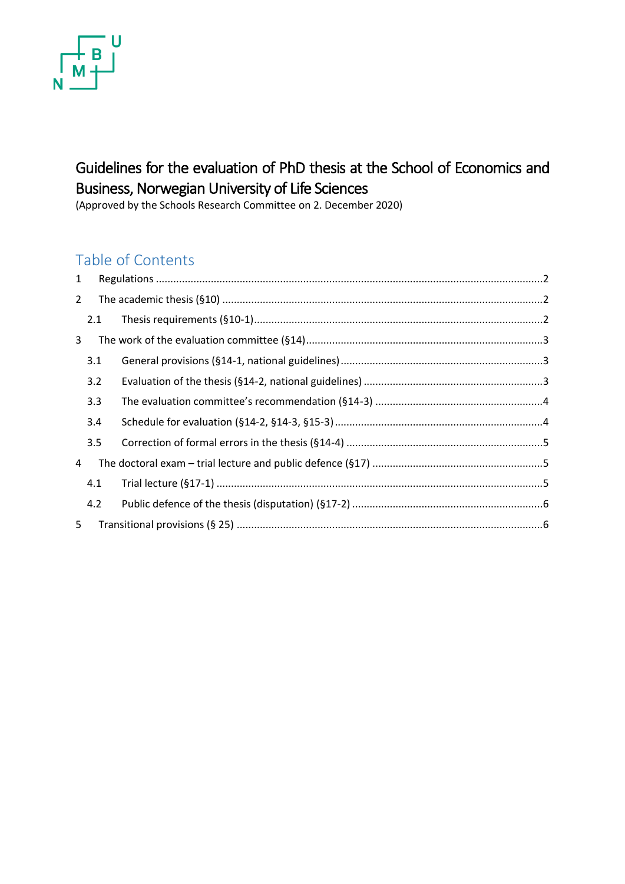# U N

# Guidelines for the evaluation of PhD thesis at the School of Economics and Business, Norwegian University of Life Sciences

(Approved by the Schools Research Committee on 2. December 2020)

# Table of Contents

| 1              |     |  |
|----------------|-----|--|
| $\overline{2}$ |     |  |
|                | 2.1 |  |
| 3              |     |  |
|                | 3.1 |  |
|                | 3.2 |  |
|                | 3.3 |  |
|                | 3.4 |  |
|                | 3.5 |  |
| 4              |     |  |
|                | 4.1 |  |
|                | 4.2 |  |
| 5              |     |  |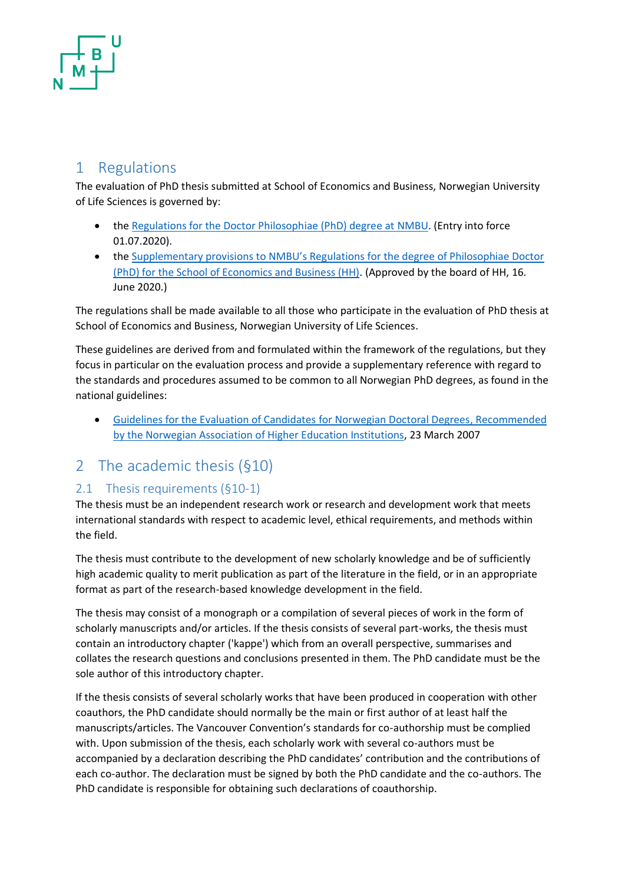## <span id="page-1-0"></span>1 Regulations

The evaluation of PhD thesis submitted at School of Economics and Business, Norwegian University of Life Sciences is governed by:

- th[e Regulations for the Doctor Philosophiae \(PhD\) degree at NMBU.](https://www.nmbu.no/download/file/fid/46176) (Entry into force 01.07.2020).
- the [Supplementary provisions to NMBU's Regula](https://www.nmbu.no/download/file/fid/45674)tions for the degree of Philosophiae Doctor [\(PhD\) for the School of Economics and Business \(HH\).](https://www.nmbu.no/download/file/fid/45674) (Approved by the board of HH, 16. June 2020.)

The regulations shall be made available to all those who participate in the evaluation of PhD thesis at School of Economics and Business, Norwegian University of Life Sciences.

These guidelines are derived from and formulated within the framework of the regulations, but they focus in particular on the evaluation process and provide a supplementary reference with regard to the standards and procedures assumed to be common to all Norwegian PhD degrees, as found in the national guidelines:

• [Guidelines for the Evaluation of Candidates for Norwegian Doctoral Degrees, Recommended](https://www.uhr.no/_f/p1/i09b2e48a-2baf-4ce9-8e54-f35f31524cda/velbeddrgreng_cjs_1.pdf)  [by the Norwegian Association of Higher Education Institutions,](https://www.uhr.no/_f/p1/i09b2e48a-2baf-4ce9-8e54-f35f31524cda/velbeddrgreng_cjs_1.pdf) 23 March 2007

## <span id="page-1-1"></span>2 The academic thesis (§10)

#### <span id="page-1-2"></span>2.1 Thesis requirements (§10-1)

The thesis must be an independent research work or research and development work that meets international standards with respect to academic level, ethical requirements, and methods within the field.

The thesis must contribute to the development of new scholarly knowledge and be of sufficiently high academic quality to merit publication as part of the literature in the field, or in an appropriate format as part of the research-based knowledge development in the field.

The thesis may consist of a monograph or a compilation of several pieces of work in the form of scholarly manuscripts and/or articles. If the thesis consists of several part-works, the thesis must contain an introductory chapter ('kappe') which from an overall perspective, summarises and collates the research questions and conclusions presented in them. The PhD candidate must be the sole author of this introductory chapter.

If the thesis consists of several scholarly works that have been produced in cooperation with other coauthors, the PhD candidate should normally be the main or first author of at least half the manuscripts/articles. The Vancouver Convention's standards for co-authorship must be complied with. Upon submission of the thesis, each scholarly work with several co-authors must be accompanied by a declaration describing the PhD candidates' contribution and the contributions of each co-author. The declaration must be signed by both the PhD candidate and the co-authors. The PhD candidate is responsible for obtaining such declarations of coauthorship.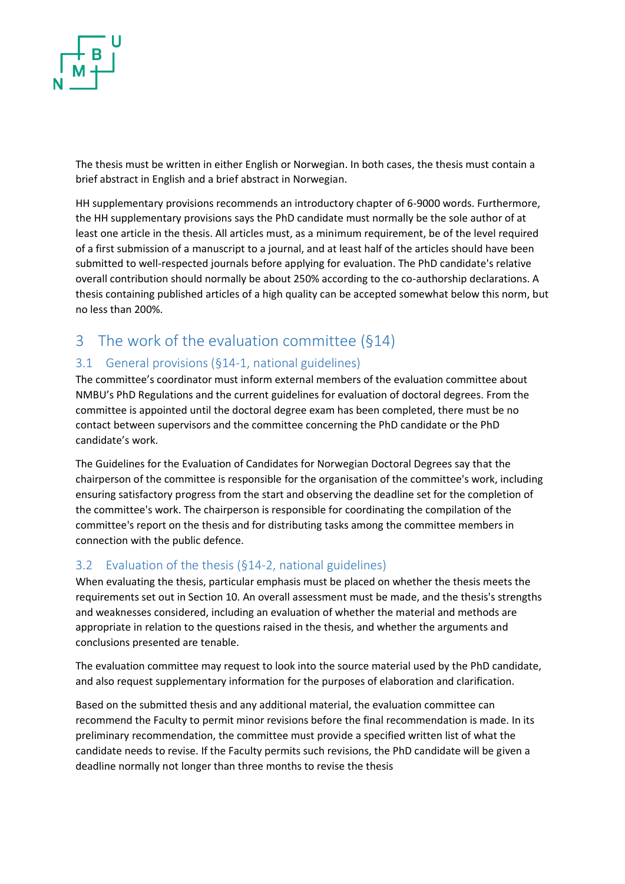

The thesis must be written in either English or Norwegian. In both cases, the thesis must contain a brief abstract in English and a brief abstract in Norwegian.

HH supplementary provisions recommends an introductory chapter of 6-9000 words. Furthermore, the HH supplementary provisions says the PhD candidate must normally be the sole author of at least one article in the thesis. All articles must, as a minimum requirement, be of the level required of a first submission of a manuscript to a journal, and at least half of the articles should have been submitted to well-respected journals before applying for evaluation. The PhD candidate's relative overall contribution should normally be about 250% according to the co-authorship declarations. A thesis containing published articles of a high quality can be accepted somewhat below this norm, but no less than 200%.

## <span id="page-2-0"></span>3 The work of the evaluation committee (§14)

#### <span id="page-2-1"></span>3.1 General provisions (§14-1, national guidelines)

The committee's coordinator must inform external members of the evaluation committee about NMBU's PhD Regulations and the current guidelines for evaluation of doctoral degrees. From the committee is appointed until the doctoral degree exam has been completed, there must be no contact between supervisors and the committee concerning the PhD candidate or the PhD candidate's work.

The Guidelines for the Evaluation of Candidates for Norwegian Doctoral Degrees say that the chairperson of the committee is responsible for the organisation of the committee's work, including ensuring satisfactory progress from the start and observing the deadline set for the completion of the committee's work. The chairperson is responsible for coordinating the compilation of the committee's report on the thesis and for distributing tasks among the committee members in connection with the public defence.

#### <span id="page-2-2"></span>3.2 Evaluation of the thesis (§14-2, national guidelines)

When evaluating the thesis, particular emphasis must be placed on whether the thesis meets the requirements set out in Section 10. An overall assessment must be made, and the thesis's strengths and weaknesses considered, including an evaluation of whether the material and methods are appropriate in relation to the questions raised in the thesis, and whether the arguments and conclusions presented are tenable.

The evaluation committee may request to look into the source material used by the PhD candidate, and also request supplementary information for the purposes of elaboration and clarification.

Based on the submitted thesis and any additional material, the evaluation committee can recommend the Faculty to permit minor revisions before the final recommendation is made. In its preliminary recommendation, the committee must provide a specified written list of what the candidate needs to revise. If the Faculty permits such revisions, the PhD candidate will be given a deadline normally not longer than three months to revise the thesis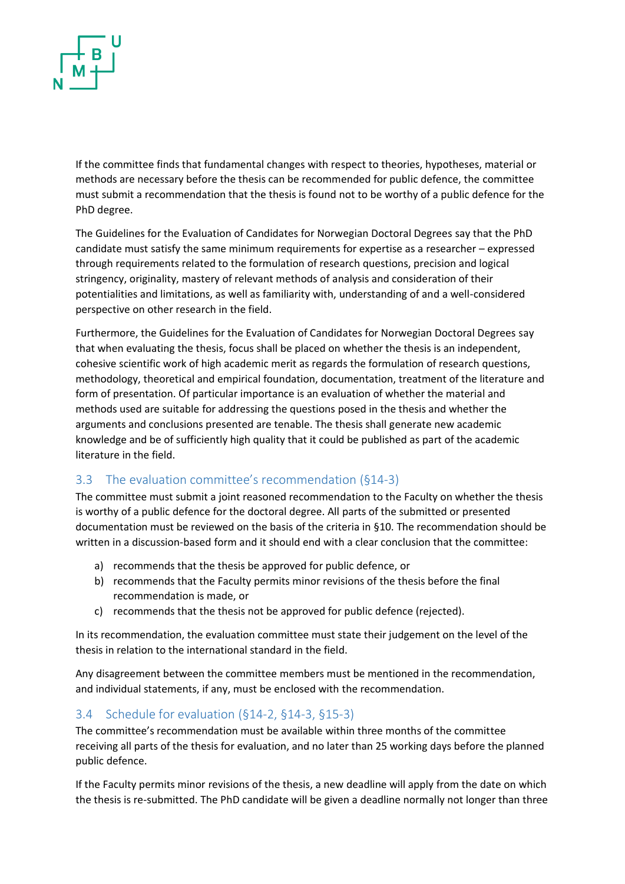

If the committee finds that fundamental changes with respect to theories, hypotheses, material or methods are necessary before the thesis can be recommended for public defence, the committee must submit a recommendation that the thesis is found not to be worthy of a public defence for the PhD degree.

The Guidelines for the Evaluation of Candidates for Norwegian Doctoral Degrees say that the PhD candidate must satisfy the same minimum requirements for expertise as a researcher – expressed through requirements related to the formulation of research questions, precision and logical stringency, originality, mastery of relevant methods of analysis and consideration of their potentialities and limitations, as well as familiarity with, understanding of and a well-considered perspective on other research in the field.

Furthermore, the Guidelines for the Evaluation of Candidates for Norwegian Doctoral Degrees say that when evaluating the thesis, focus shall be placed on whether the thesis is an independent, cohesive scientific work of high academic merit as regards the formulation of research questions, methodology, theoretical and empirical foundation, documentation, treatment of the literature and form of presentation. Of particular importance is an evaluation of whether the material and methods used are suitable for addressing the questions posed in the thesis and whether the arguments and conclusions presented are tenable. The thesis shall generate new academic knowledge and be of sufficiently high quality that it could be published as part of the academic literature in the field.

#### <span id="page-3-0"></span>3.3 The evaluation committee's recommendation (§14-3)

The committee must submit a joint reasoned recommendation to the Faculty on whether the thesis is worthy of a public defence for the doctoral degree. All parts of the submitted or presented documentation must be reviewed on the basis of the criteria in §10. The recommendation should be written in a discussion-based form and it should end with a clear conclusion that the committee:

- a) recommends that the thesis be approved for public defence, or
- b) recommends that the Faculty permits minor revisions of the thesis before the final recommendation is made, or
- c) recommends that the thesis not be approved for public defence (rejected).

In its recommendation, the evaluation committee must state their judgement on the level of the thesis in relation to the international standard in the field.

Any disagreement between the committee members must be mentioned in the recommendation, and individual statements, if any, must be enclosed with the recommendation.

#### <span id="page-3-1"></span>3.4 Schedule for evaluation (§14-2, §14-3, §15-3)

The committee's recommendation must be available within three months of the committee receiving all parts of the thesis for evaluation, and no later than 25 working days before the planned public defence.

If the Faculty permits minor revisions of the thesis, a new deadline will apply from the date on which the thesis is re-submitted. The PhD candidate will be given a deadline normally not longer than three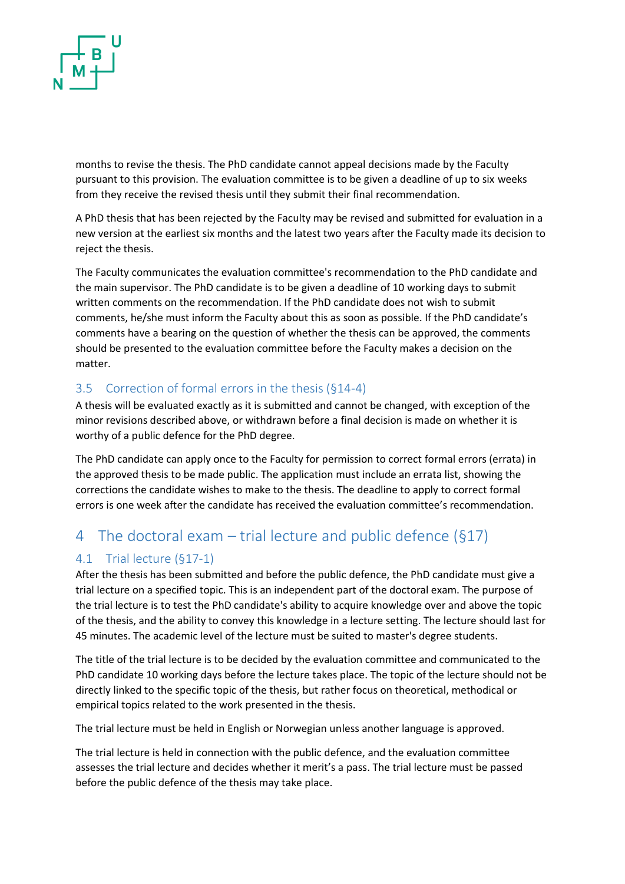

months to revise the thesis. The PhD candidate cannot appeal decisions made by the Faculty pursuant to this provision. The evaluation committee is to be given a deadline of up to six weeks from they receive the revised thesis until they submit their final recommendation.

A PhD thesis that has been rejected by the Faculty may be revised and submitted for evaluation in a new version at the earliest six months and the latest two years after the Faculty made its decision to reject the thesis.

The Faculty communicates the evaluation committee's recommendation to the PhD candidate and the main supervisor. The PhD candidate is to be given a deadline of 10 working days to submit written comments on the recommendation. If the PhD candidate does not wish to submit comments, he/she must inform the Faculty about this as soon as possible. If the PhD candidate's comments have a bearing on the question of whether the thesis can be approved, the comments should be presented to the evaluation committee before the Faculty makes a decision on the matter.

#### <span id="page-4-0"></span>3.5 Correction of formal errors in the thesis (§14-4)

A thesis will be evaluated exactly as it is submitted and cannot be changed, with exception of the minor revisions described above, or withdrawn before a final decision is made on whether it is worthy of a public defence for the PhD degree.

The PhD candidate can apply once to the Faculty for permission to correct formal errors (errata) in the approved thesis to be made public. The application must include an errata list, showing the corrections the candidate wishes to make to the thesis. The deadline to apply to correct formal errors is one week after the candidate has received the evaluation committee's recommendation.

### <span id="page-4-1"></span>4 The doctoral exam – trial lecture and public defence (§17)

#### <span id="page-4-2"></span>4.1 Trial lecture (§17-1)

After the thesis has been submitted and before the public defence, the PhD candidate must give a trial lecture on a specified topic. This is an independent part of the doctoral exam. The purpose of the trial lecture is to test the PhD candidate's ability to acquire knowledge over and above the topic of the thesis, and the ability to convey this knowledge in a lecture setting. The lecture should last for 45 minutes. The academic level of the lecture must be suited to master's degree students.

The title of the trial lecture is to be decided by the evaluation committee and communicated to the PhD candidate 10 working days before the lecture takes place. The topic of the lecture should not be directly linked to the specific topic of the thesis, but rather focus on theoretical, methodical or empirical topics related to the work presented in the thesis.

The trial lecture must be held in English or Norwegian unless another language is approved.

The trial lecture is held in connection with the public defence, and the evaluation committee assesses the trial lecture and decides whether it merit's a pass. The trial lecture must be passed before the public defence of the thesis may take place.